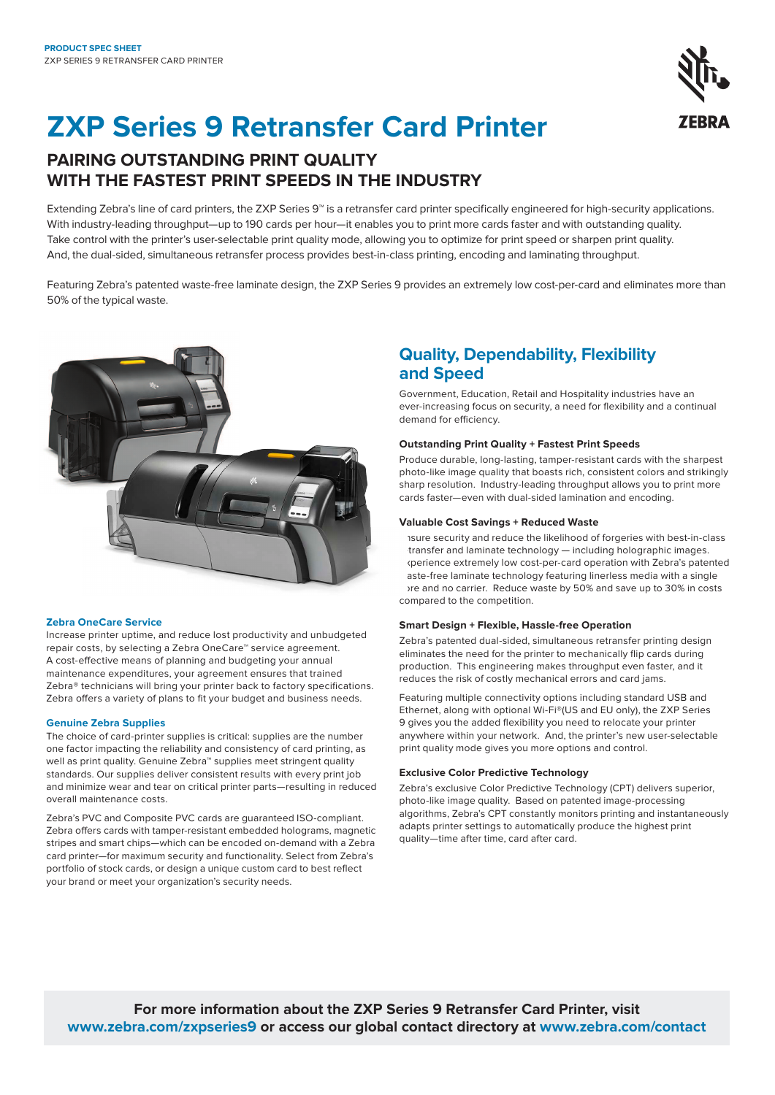

# **ZXP Series 9 Retransfer Card Printer**

# **PAIRING OUTSTANDING PRINT QUALITY WITH THE FASTEST PRINT SPEEDS IN THE INDUSTRY**

Extending Zebra's line of card printers, the ZXP Series 9™ is a retransfer card printer specifically engineered for high-security applications. With industry-leading throughput—up to 190 cards per hour—it enables you to print more cards faster and with outstanding quality. Take control with the printer's user-selectable print quality mode, allowing you to optimize for print speed or sharpen print quality. And, the dual-sided, simultaneous retransfer process provides best-in-class printing, encoding and laminating throughput.

Featuring Zebra's patented waste-free laminate design, the ZXP Series 9 provides an extremely low cost-per-card and eliminates more than 50% of the typical waste.



# **Zebra OneCare Service**

Increase printer uptime, and reduce lost productivity and unbudgeted repair costs, by selecting a Zebra OneCare™ service agreement. A cost-effective means of planning and budgeting your annual maintenance expenditures, your agreement ensures that trained Zebra® technicians will bring your printer back to factory specifications. Zebra offers a variety of plans to fit your budget and business needs.

# **Genuine Zebra Supplies**

The choice of card-printer supplies is critical: supplies are the number one factor impacting the reliability and consistency of card printing, as well as print quality. Genuine Zebra<sup>™</sup> supplies meet stringent quality standards. Our supplies deliver consistent results with every print job and minimize wear and tear on critical printer parts—resulting in reduced overall maintenance costs.

Zebra's PVC and Composite PVC cards are guaranteed ISO-compliant. Zebra offers cards with tamper-resistant embedded holograms, magnetic stripes and smart chips—which can be encoded on-demand with a Zebra card printer—for maximum security and functionality. Select from Zebra's portfolio of stock cards, or design a unique custom card to best reflect your brand or meet your organization's security needs.

# **Quality, Dependability, Flexibility and Speed**

Government, Education, Retail and Hospitality industries have an ever-increasing focus on security, a need for flexibility and a continual demand for efficiency.

# **Outstanding Print Quality + Fastest Print Speeds**

Produce durable, long-lasting, tamper-resistant cards with the sharpest photo-like image quality that boasts rich, consistent colors and strikingly sharp resolution. Industry-leading throughput allows you to print more cards faster—even with dual-sided lamination and encoding.

# **Valuable Cost Savings + Reduced Waste**

Ensure security and reduce the likelihood of forgeries with best-in-class transfer and laminate technology - including holographic images. Experience extremely low cost-per-card operation with Zebra's patented aste-free laminate technology featuring linerless media with a single ore and no carrier. Reduce waste by 50% and save up to 30% in costs compared to the competition.

# **Smart Design + Flexible, Hassle-free Operation**

Zebra's patented dual-sided, simultaneous retransfer printing design eliminates the need for the printer to mechanically flip cards during production. This engineering makes throughput even faster, and it reduces the risk of costly mechanical errors and card jams.

Featuring multiple connectivity options including standard USB and Ethernet, along with optional Wi-Fi®(US and EU only), the ZXP Series 9 gives you the added flexibility you need to relocate your printer anywhere within your network. And, the printer's new user-selectable print quality mode gives you more options and control.

# **Exclusive Color Predictive Technology**

Zebra's exclusive Color Predictive Technology (CPT) delivers superior, photo-like image quality. Based on patented image-processing algorithms, Zebra's CPT constantly monitors printing and instantaneously adapts printer settings to automatically produce the highest print quality—time after time, card after card.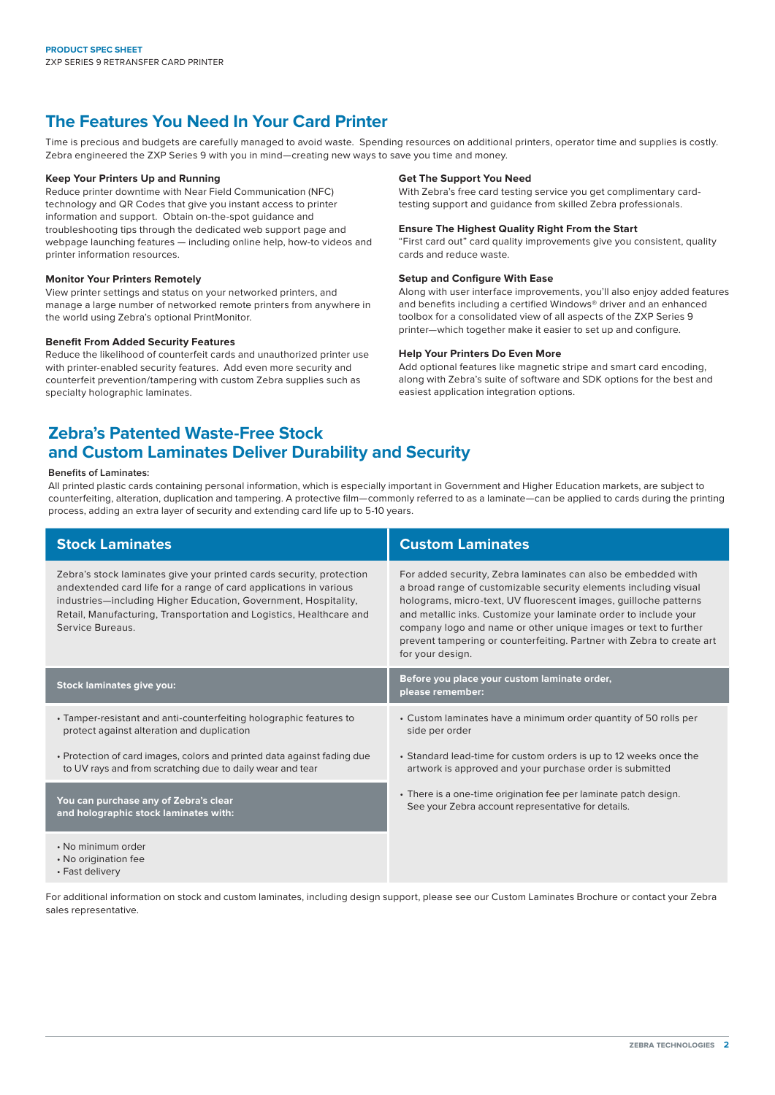# **The Features You Need In Your Card Printer**

Time is precious and budgets are carefully managed to avoid waste. Spending resources on additional printers, operator time and supplies is costly. Zebra engineered the ZXP Series 9 with you in mind—creating new ways to save you time and money.

# **Keep Your Printers Up and Running**

Reduce printer downtime with Near Field Communication (NFC) technology and QR Codes that give you instant access to printer information and support. Obtain on-the-spot guidance and troubleshooting tips through the dedicated web support page and webpage launching features — including online help, how-to videos and printer information resources.

# **Monitor Your Printers Remotely**

View printer settings and status on your networked printers, and manage a large number of networked remote printers from anywhere in the world using Zebra's optional PrintMonitor.

# **Benefit From Added Security Features**

Reduce the likelihood of counterfeit cards and unauthorized printer use with printer-enabled security features. Add even more security and counterfeit prevention/tampering with custom Zebra supplies such as specialty holographic laminates.

# **Get The Support You Need**

With Zebra's free card testing service you get complimentary cardtesting support and guidance from skilled Zebra professionals.

# **Ensure The Highest Quality Right From the Start**

"First card out" card quality improvements give you consistent, quality cards and reduce waste.

# **Setup and Configure With Ease**

Along with user interface improvements, you'll also enjoy added features and benefits including a certified Windows® driver and an enhanced toolbox for a consolidated view of all aspects of the ZXP Series 9 printer—which together make it easier to set up and configure.

# **Help Your Printers Do Even More**

Add optional features like magnetic stripe and smart card encoding, along with Zebra's suite of software and SDK options for the best and easiest application integration options.

# **Zebra's Patented Waste-Free Stock and Custom Laminates Deliver Durability and Security**

# **Benefits of Laminates:**

All printed plastic cards containing personal information, which is especially important in Government and Higher Education markets, are subject to counterfeiting, alteration, duplication and tampering. A protective film—commonly referred to as a laminate—can be applied to cards during the printing process, adding an extra layer of security and extending card life up to 5-10 years.

| <b>Stock Laminates</b>                                                                                                                                                                                                                                                                                  | <b>Custom Laminates</b>                                                                                                                                                                                                                                                                                                                                                                                                                   |
|---------------------------------------------------------------------------------------------------------------------------------------------------------------------------------------------------------------------------------------------------------------------------------------------------------|-------------------------------------------------------------------------------------------------------------------------------------------------------------------------------------------------------------------------------------------------------------------------------------------------------------------------------------------------------------------------------------------------------------------------------------------|
| Zebra's stock laminates give your printed cards security, protection<br>andextended card life for a range of card applications in various<br>industries-including Higher Education, Government, Hospitality,<br>Retail, Manufacturing, Transportation and Logistics, Healthcare and<br>Service Bureaus. | For added security, Zebra laminates can also be embedded with<br>a broad range of customizable security elements including visual<br>holograms, micro-text, UV fluorescent images, guilloche patterns<br>and metallic inks. Customize your laminate order to include your<br>company logo and name or other unique images or text to further<br>prevent tampering or counterfeiting. Partner with Zebra to create art<br>for your design. |
| <b>Stock laminates give you:</b>                                                                                                                                                                                                                                                                        | Before you place your custom laminate order,<br>please remember:                                                                                                                                                                                                                                                                                                                                                                          |
| • Tamper-resistant and anti-counterfeiting holographic features to<br>protect against alteration and duplication                                                                                                                                                                                        | • Custom laminates have a minimum order quantity of 50 rolls per<br>side per order                                                                                                                                                                                                                                                                                                                                                        |
| • Protection of card images, colors and printed data against fading due<br>to UV rays and from scratching due to daily wear and tear                                                                                                                                                                    | • Standard lead-time for custom orders is up to 12 weeks once the<br>artwork is approved and your purchase order is submitted                                                                                                                                                                                                                                                                                                             |
| You can purchase any of Zebra's clear<br>and holographic stock laminates with:                                                                                                                                                                                                                          | • There is a one-time origination fee per laminate patch design.<br>See your Zebra account representative for details.                                                                                                                                                                                                                                                                                                                    |
| • No minimum order<br>• No origination fee                                                                                                                                                                                                                                                              |                                                                                                                                                                                                                                                                                                                                                                                                                                           |

• Fast delivery

For additional information on stock and custom laminates, including design support, please see our Custom Laminates Brochure or contact your Zebra sales representative.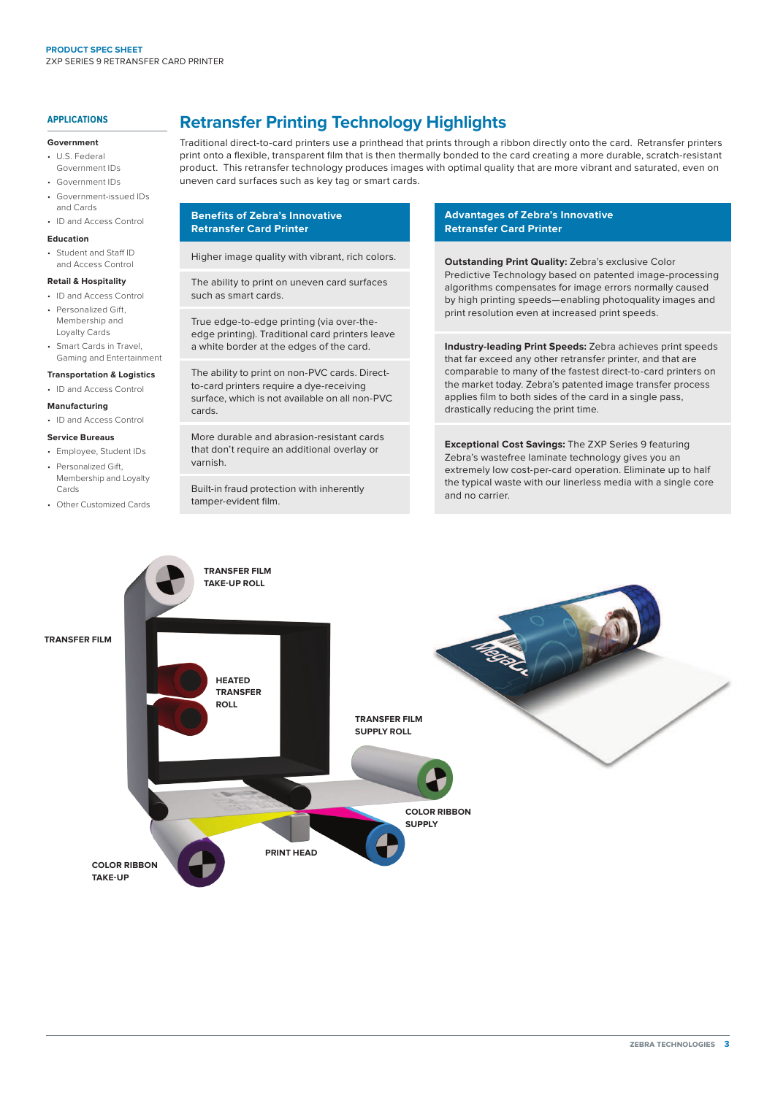# **APPLICATIONS**

### **Government**

- U.S. Federal Government IDs
- Government IDs
- Government-issued IDs and Cards
- ID and Access Control

# **Education**

• Student and Staff ID and Access Control

# **Retail & Hospitality**

- ID and Access Control
- Personalized Gift, Membership and Loyalty Cards
- Smart Cards in Travel, Gaming and Entertainment

# **Transportation & Logistics**

- ID and Access Control
- **Manufacturing**
- ID and Access Control

# **Service Bureaus**

Cards

- Employee, Student IDs Personalized Gift, Membership and Loyalty
- Other Customized Cards

# **Retransfer Printing Technology Highlights**

Traditional direct-to-card printers use a printhead that prints through a ribbon directly onto the card. Retransfer printers print onto a flexible, transparent film that is then thermally bonded to the card creating a more durable, scratch-resistant product. This retransfer technology produces images with optimal quality that are more vibrant and saturated, even on uneven card surfaces such as key tag or smart cards.

# **Benefits of Zebra's Innovative Retransfer Card Printer**

Higher image quality with vibrant, rich colors.

The ability to print on uneven card surfaces such as smart cards.

True edge-to-edge printing (via over-theedge printing). Traditional card printers leave a white border at the edges of the card.

The ability to print on non-PVC cards. Directto-card printers require a dye-receiving surface, which is not available on all non-PVC cards.

More durable and abrasion-resistant cards that don't require an additional overlay or varnish.

Built-in fraud protection with inherently tamper-evident film.

# **Advantages of Zebra's Innovative Retransfer Card Printer**

**Outstanding Print Quality:** Zebra's exclusive Color Predictive Technology based on patented image-processing algorithms compensates for image errors normally caused by high printing speeds—enabling photoquality images and print resolution even at increased print speeds.

**Industry-leading Print Speeds:** Zebra achieves print speeds that far exceed any other retransfer printer, and that are comparable to many of the fastest direct-to-card printers on the market today. Zebra's patented image transfer process applies film to both sides of the card in a single pass, drastically reducing the print time.

**Exceptional Cost Savings:** The ZXP Series 9 featuring Zebra's wastefree laminate technology gives you an extremely low cost-per-card operation. Eliminate up to half the typical waste with our linerless media with a single core and no carrier.